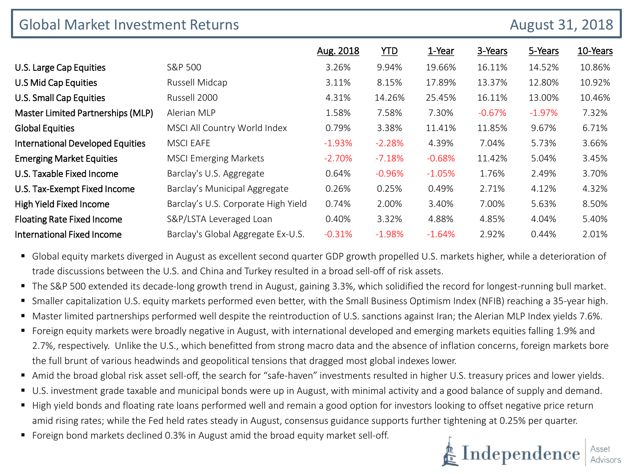| <b>Global Market Investment Returns</b><br>August 31, 2018 |                                     |           |            |           |          |          |          |
|------------------------------------------------------------|-------------------------------------|-----------|------------|-----------|----------|----------|----------|
|                                                            |                                     | Aug. 2018 | <b>YTD</b> | 1-Year    | 3-Years  | 5-Years  | 10-Years |
| U.S. Large Cap Equities                                    | S&P 500                             | 3.26%     | 9.94%      | 19.66%    | 16.11%   | 14.52%   | 10.86%   |
| U.S Mid Cap Equities                                       | Russell Midcap                      | 3.11%     | 8.15%      | 17.89%    | 13.37%   | 12.80%   | 10.92%   |
| U.S. Small Cap Equities                                    | Russell 2000                        | 4.31%     | 14.26%     | 25.45%    | 16.11%   | 13.00%   | 10.46%   |
| Master Limited Partnerships (MLP)                          | Alerian MLP                         | 1.58%     | 7.58%      | 7.30%     | $-0.67%$ | $-1.97%$ | 7.32%    |
| <b>Global Equities</b>                                     | MSCI All Country World Index        | 0.79%     | 3.38%      | 11.41%    | 11.85%   | 9.67%    | 6.71%    |
| <b>International Developed Equities</b>                    | <b>MSCI EAFE</b>                    | $-1.93%$  | $-2.28%$   | 4.39%     | 7.04%    | 5.73%    | 3.66%    |
| <b>Emerging Market Equities</b>                            | <b>MSCI Emerging Markets</b>        | $-2.70%$  | $-7.18%$   | $-0.68%$  | 11.42%   | 5.04%    | 3.45%    |
| U.S. Taxable Fixed Income                                  | Barclay's U.S. Aggregate            | 0.64%     | $-0.96%$   | $-1.05%$  | 1.76%    | 2.49%    | 3.70%    |
| U.S. Tax-Exempt Fixed Income                               | Barclay's Municipal Aggregate       | 0.26%     | 0.25%      | 0.49%     | 2.71%    | 4.12%    | 4.32%    |
| High Yield Fixed Income                                    | Barclay's U.S. Corporate High Yield | 0.74%     | 2.00%      | 3.40%     | 7.00%    | 5.63%    | 8.50%    |
| <b>Floating Rate Fixed Income</b>                          | S&P/LSTA Leveraged Loan             | 0.40%     | 3.32%      | 4.88%     | 4.85%    | 4.04%    | 5.40%    |
| <b>International Fixed Income</b>                          | Barclay's Global Aggregate Ex-U.S.  | $-0.31%$  | $-1.98%$   | $-1.64\%$ | 2.92%    | 0.44%    | 2.01%    |

 Global equity markets diverged in August as excellent second quarter GDP growth propelled U.S. markets higher, while a deterioration of trade discussions between the U.S. and China and Turkey resulted in a broad sell-off of risk assets.

- The S&P 500 extended its decade-long growth trend in August, gaining 3.3%, which solidified the record for longest-running bull market.
- Smaller capitalization U.S. equity markets performed even better, with the Small Business Optimism Index (NFIB) reaching a 35-year high.
- Master limited partnerships performed well despite the reintroduction of U.S. sanctions against Iran; the Alerian MLP Index yields 7.6%.
- Foreign equity markets were broadly negative in August, with international developed and emerging markets equities falling 1.9% and 2.7%, respectively. Unlike the U.S., which benefitted from strong macro data and the absence of inflation concerns, foreign markets bore the full brunt of various headwinds and geopolitical tensions that dragged most global indexes lower.
- Amid the broad global risk asset sell-off, the search for "safe-haven" investments resulted in higher U.S. treasury prices and lower yields.
- U.S. investment grade taxable and municipal bonds were up in August, with minimal activity and a good balance of supply and demand.
- High yield bonds and floating rate loans performed well and remain a good option for investors looking to offset negative price return amid rising rates; while the Fed held rates steady in August, consensus guidance supports further tightening at 0.25% per quarter.
- Foreign bond markets declined 0.3% in August amid the broad equity market sell-off.